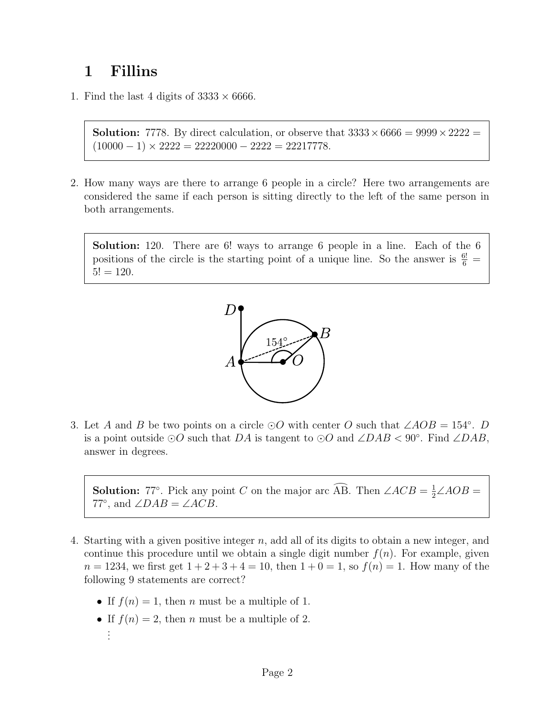## 1 Fillins

1. Find the last 4 digits of  $3333 \times 6666$ .

**Solution:** 7778. By direct calculation, or observe that  $3333 \times 6666 = 9999 \times 2222$  $(10000 - 1) \times 2222 = 22220000 - 2222 = 22217778.$ 

2. How many ways are there to arrange 6 people in a circle? Here two arrangements are considered the same if each person is sitting directly to the left of the same person in both arrangements.

Solution: 120. There are 6! ways to arrange 6 people in a line. Each of the 6 positions of the circle is the starting point of a unique line. So the answer is  $\frac{6!}{6}$  =  $5! = 120.$ 



3. Let A and B be two points on a circle  $\odot$ O with center O such that ∠AOB = 154°. D is a point outside  $\odot$ O such that DA is tangent to  $\odot$ O and ∠DAB < 90°. Find ∠DAB, answer in degrees.

**Solution:** 77°. Pick any point C on the major arc  $\widehat{AB}$ . Then  $\angle ACB = \frac{1}{2} \angle AOB =$ 77°, and  $\angle DAB = \angle ACB$ .

- 4. Starting with a given positive integer  $n$ , add all of its digits to obtain a new integer, and continue this procedure until we obtain a single digit number  $f(n)$ . For example, given  $n = 1234$ , we first get  $1 + 2 + 3 + 4 = 10$ , then  $1 + 0 = 1$ , so  $f(n) = 1$ . How many of the following 9 statements are correct?
	- If  $f(n) = 1$ , then *n* must be a multiple of 1.
	- If  $f(n) = 2$ , then *n* must be a multiple of 2. . . .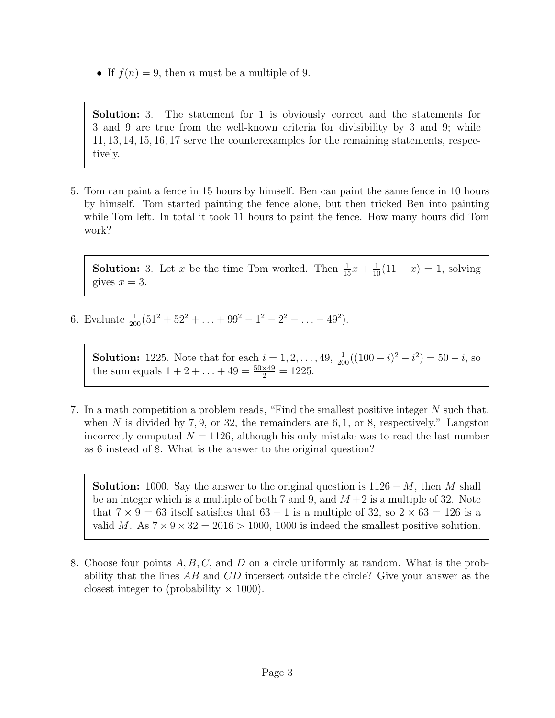• If  $f(n) = 9$ , then *n* must be a multiple of 9.

Solution: 3. The statement for 1 is obviously correct and the statements for 3 and 9 are true from the well-known criteria for divisibility by 3 and 9; while 11, 13, 14, 15, 16, 17 serve the counterexamples for the remaining statements, respectively.

5. Tom can paint a fence in 15 hours by himself. Ben can paint the same fence in 10 hours by himself. Tom started painting the fence alone, but then tricked Ben into painting while Tom left. In total it took 11 hours to paint the fence. How many hours did Tom work?

**Solution:** 3. Let x be the time Tom worked. Then  $\frac{1}{15}x + \frac{1}{10}(11 - x) = 1$ , solving gives  $x = 3$ .

6. Evaluate  $\frac{1}{200}(51^2 + 52^2 + \ldots + 99^2 - 1^2 - 2^2 - \ldots - 49^2)$ .

**Solution:** 1225. Note that for each  $i = 1, 2, ..., 49$ ,  $\frac{1}{200}((100 - i)^2 - i^2) = 50 - i$ , so the sum equals  $1 + 2 + \ldots + 49 = \frac{50 \times 49}{2} = 1225$ .

7. In a math competition a problem reads, "Find the smallest positive integer  $N$  such that, when N is divided by 7, 9, or 32, the remainders are 6, 1, or 8, respectively." Langston incorrectly computed  $N = 1126$ , although his only mistake was to read the last number as 6 instead of 8. What is the answer to the original question?

**Solution:** 1000. Say the answer to the original question is  $1126 - M$ , then M shall be an integer which is a multiple of both 7 and 9, and  $M+2$  is a multiple of 32. Note that  $7 \times 9 = 63$  itself satisfies that  $63 + 1$  is a multiple of 32, so  $2 \times 63 = 126$  is a valid M. As  $7 \times 9 \times 32 = 2016 > 1000$ , 1000 is indeed the smallest positive solution.

8. Choose four points A, B, C, and D on a circle uniformly at random. What is the probability that the lines AB and CD intersect outside the circle? Give your answer as the closest integer to (probability  $\times$  1000).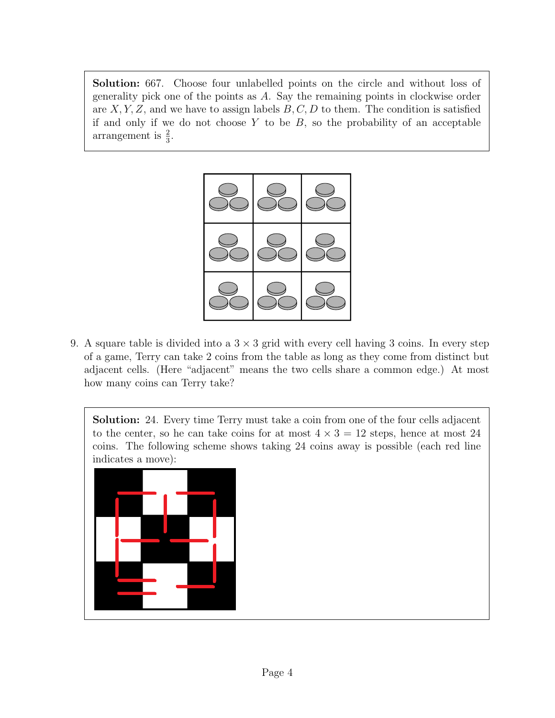Solution: 667. Choose four unlabelled points on the circle and without loss of generality pick one of the points as A. Say the remaining points in clockwise order are  $X, Y, Z$ , and we have to assign labels  $B, C, D$  to them. The condition is satisfied if and only if we do not choose  $Y$  to be  $B$ , so the probability of an acceptable arrangement is  $\frac{2}{3}$ .



9. A square table is divided into a  $3 \times 3$  grid with every cell having 3 coins. In every step of a game, Terry can take 2 coins from the table as long as they come from distinct but adjacent cells. (Here "adjacent" means the two cells share a common edge.) At most how many coins can Terry take?

Solution: 24. Every time Terry must take a coin from one of the four cells adjacent to the center, so he can take coins for at most  $4 \times 3 = 12$  steps, hence at most 24 coins. The following scheme shows taking 24 coins away is possible (each red line indicates a move):

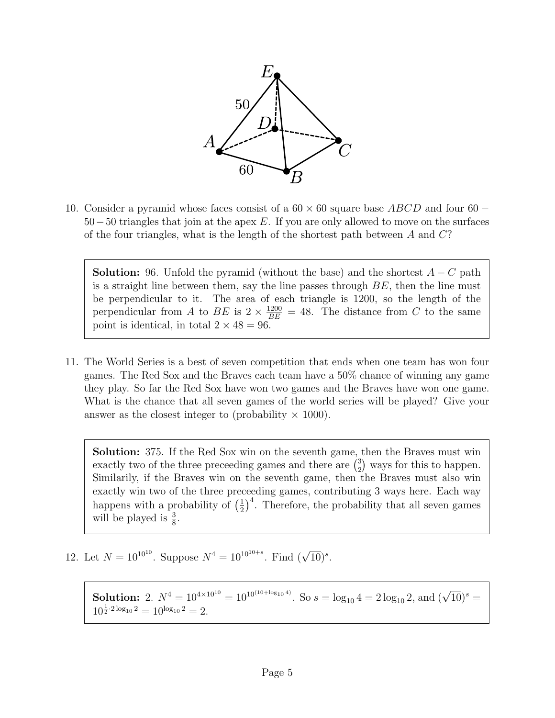

10. Consider a pyramid whose faces consist of a  $60 \times 60$  square base  $ABCD$  and four  $60 -$ 50−50 triangles that join at the apex E. If you are only allowed to move on the surfaces of the four triangles, what is the length of the shortest path between  $A$  and  $C$ ?

**Solution:** 96. Unfold the pyramid (without the base) and the shortest  $A - C$  path is a straight line between them, say the line passes through  $BE$ , then the line must be perpendicular to it. The area of each triangle is 1200, so the length of the perpendicular from A to BE is  $2 \times \frac{1200}{BE} = 48$ . The distance from C to the same point is identical, in total  $2 \times 48 = 96$ .

11. The World Series is a best of seven competition that ends when one team has won four games. The Red Sox and the Braves each team have a 50% chance of winning any game they play. So far the Red Sox have won two games and the Braves have won one game. What is the chance that all seven games of the world series will be played? Give your answer as the closest integer to (probability  $\times$  1000).

Solution: 375. If the Red Sox win on the seventh game, then the Braves must win exactly two of the three preceeding games and there are  $\binom{3}{2}$  $_{2}^{3}$ ) ways for this to happen. Similarily, if the Braves win on the seventh game, then the Braves must also win exactly win two of the three preceeding games, contributing 3 ways here. Each way happens with a probability of  $\left(\frac{1}{2}\right)$  $(\frac{1}{2})^4$ . Therefore, the probability that all seven games will be played is  $\frac{3}{8}$ .

12. Let  $N = 10^{10^{10}}$ . Suppose  $N^4 = 10^{10^{10+s}}$ . Find  $(\sqrt{10})^s$ .

**Solution:** 2.  $N^4 = 10^{4 \times 10^{10}} = 10^{10^{(10 + \log_{10} 4)}}$ . So  $s = \log_{10} 4 = 2 \log_{10} 2$ , and  $(\sqrt{10})^s =$  $10^{\frac{1}{2}\cdot 2\log_{10}2} = 10^{\log_{10}2} = 2.$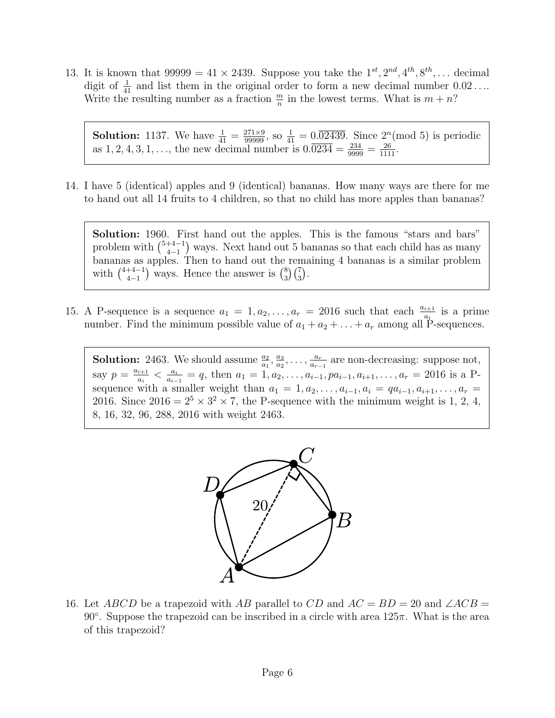13. It is known that  $99999 = 41 \times 2439$ . Suppose you take the  $1^{st}$ ,  $2^{nd}$ ,  $4^{th}$ ,  $8^{th}$ , ... decimal digit of  $\frac{1}{41}$  and list them in the original order to form a new decimal number  $0.02\dots$ Write the resulting number as a fraction  $\frac{m}{n}$  in the lowest terms. What is  $m + n$ ?

**Solution:** 1137. We have  $\frac{1}{41} = \frac{271 \times 9}{99999}$ , so  $\frac{1}{41} = 0.\overline{0.02439}$ . Since  $2^n \pmod{5}$  is periodic as  $1, 2, 4, 3, 1, \ldots$ , the new decimal number is  $0.\overline{0234} = \frac{234}{9999} = \frac{26}{1111}$ .

14. I have 5 (identical) apples and 9 (identical) bananas. How many ways are there for me to hand out all 14 fruits to 4 children, so that no child has more apples than bananas?

Solution: 1960. First hand out the apples. This is the famous "stars and bars" problem with  $\binom{5+4-1}{4-1}$  $\binom{+4-1}{4-1}$  ways. Next hand out 5 bananas so that each child has as many bananas as apples. Then to hand out the remaining 4 bananas is a similar problem with  $\binom{4+4-1}{4-1}$  $\binom{+4-1}{4-1}$  ways. Hence the answer is  $\binom{8}{3}$  $_{3}^{8}\right)\binom{7}{3}.$ 

15. A P-sequence is a sequence  $a_1 = 1, a_2, \ldots, a_r = 2016$  such that each  $\frac{a_{i+1}}{a_i}$  is a prime number. Find the minimum possible value of  $a_1 + a_2 + \ldots + a_r$  among all  $\tilde{P}$ -sequences.

**Solution:** 2463. We should assume  $\frac{a_2}{a_1}, \frac{a_3}{a_2}$  $\frac{a_3}{a_2}, \ldots, \frac{a_r}{a_{r-1}}$  $\frac{a_r}{a_{r-1}}$  are non-decreasing: suppose not, say  $p = \frac{a_{i+1}}{a_i}$  $\frac{i+1}{a_i} < \frac{a_i}{a_{i-1}}$  $\frac{a_i}{a_{i-1}} = q$ , then  $a_1 = 1, a_2, \ldots, a_{i-1}, pa_{i-1}, a_{i+1}, \ldots, a_r = 2016$  is a Psequence with a smaller weight than  $a_1 = 1, a_2, \ldots, a_{i-1}, a_i = qa_{i-1}, a_{i+1}, \ldots, a_r =$ 2016. Since  $2016 = 2^5 \times 3^2 \times 7$ , the P-sequence with the minimum weight is 1, 2, 4, 8, 16, 32, 96, 288, 2016 with weight 2463.



16. Let ABCD be a trapezoid with AB parallel to CD and  $AC = BD = 20$  and  $\angle ACB = \angle ACB$ 90 $\degree$ . Suppose the trapezoid can be inscribed in a circle with area 125 $\pi$ . What is the area of this trapezoid?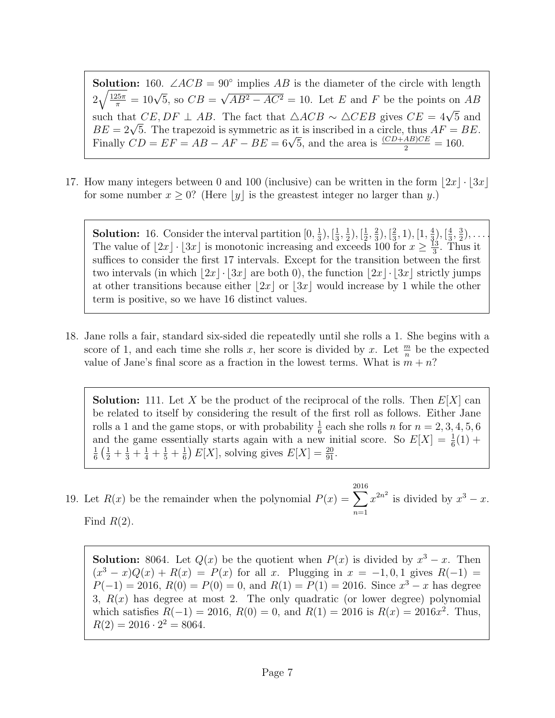**Solution:** 160.  $\angle ACB = 90^\circ$  implies AB is the diameter of the circle with length  $2\sqrt{\frac{125\pi}{\pi}}$  $rac{25\pi}{\pi} = 10\sqrt{5}$ , so  $CB =$ √  $AB^2 - AC^2 = 10$ . Let E and F be the points on AB such that  $CE, DF \perp AB$ . The fact that  $\triangle ACB \sim \triangle CEB$  gives  $CE = 4\sqrt{5}$  and such that  $CE, DF \perp AB$ . The fact that  $\triangle ACB \sim \triangle CEB$  gives  $CE = 4\sqrt{5}$  and  $BE = 2\sqrt{5}$ . The trapezoid is symmetric as it is inscribed in a circle, thus  $AF = BE$ .  $BE = 2\sqrt{5}$ . The trapezoid is symmetric as it is inscribed in a circle, thus  $AF = 1$ .<br>Finally  $CD = EF = AB - AF - BE = 6\sqrt{5}$ , and the area is  $\frac{(CD+AB)CE}{2} = 160$ .

17. How many integers between 0 and 100 (inclusive) can be written in the form  $|2x| \cdot |3x|$ for some number  $x \geq 0$ ? (Here |y| is the greastest integer no larger than y.)

**Solution:** 16. Consider the interval partition  $[0, \frac{1}{3}]$  $(\frac{1}{3}), [\frac{1}{3}]$  $\frac{1}{3}, \frac{1}{2}$  $(\frac{1}{2}), [\frac{1}{2}]$  $\frac{1}{2}$ ,  $\frac{2}{3}$  $(\frac{2}{3}), [\frac{2}{3}]$  $(\frac{2}{3},1), [\frac{1}{3},$  $(\frac{4}{3}), [\frac{4}{3}]$  $\frac{4}{3}, \frac{3}{2}$  $(\frac{3}{2}), \ldots$ The value of  $|2x| \cdot |3x|$  is monotonic increasing and exceeds 100 for  $x \geq \frac{13}{3}$  $\frac{13}{3}$ . Thus it suffices to consider the first 17 intervals. Except for the transition between the first two intervals (in which  $\lfloor 2x \rfloor \cdot \lfloor 3x \rfloor$  are both 0), the function  $\lfloor 2x \rfloor \cdot \lfloor 3x \rfloor$  strictly jumps at other transitions because either  $|2x|$  or  $|3x|$  would increase by 1 while the other term is positive, so we have 16 distinct values.

18. Jane rolls a fair, standard six-sided die repeatedly until she rolls a 1. She begins with a score of 1, and each time she rolls x, her score is divided by x. Let  $\frac{m}{n}$  be the expected value of Jane's final score as a fraction in the lowest terms. What is  $m + n$ ?

**Solution:** 111. Let X be the product of the reciprocal of the rolls. Then  $E[X]$  can be related to itself by considering the result of the first roll as follows. Either Jane rolls a 1 and the game stops, or with probability  $\frac{1}{6}$  each she rolls n for  $n = 2, 3, 4, 5, 6$ and the game essentially starts again with a new initial score. So  $E[X] = \frac{1}{6}(1) +$ 1  $\frac{1}{6}$  $\left(\frac{1}{2} + \frac{1}{3} + \frac{1}{4} + \frac{1}{5} + \frac{1}{6}\right)$  $\frac{1}{6}$   $E[X]$ , solving gives  $E[X] = \frac{20}{91}$ .

19. Let  $R(x)$  be the remainder when the polynomial  $P(x) = \sum$ 2016  $n=1$  $x^{2n^2}$  is divided by  $x^3 - x$ . Find  $R(2)$ .

**Solution:** 8064. Let  $Q(x)$  be the quotient when  $P(x)$  is divided by  $x^3 - x$ . Then  $(x^{3} - x)Q(x) + R(x) = P(x)$  for all x. Plugging in  $x = -1, 0, 1$  gives  $R(-1) =$  $P(-1) = 2016, R(0) = P(0) = 0$ , and  $R(1) = P(1) = 2016$ . Since  $x<sup>3</sup> - x$  has degree 3,  $R(x)$  has degree at most 2. The only quadratic (or lower degree) polynomial which satisfies  $R(-1) = 2016$ ,  $R(0) = 0$ , and  $R(1) = 2016$  is  $R(x) = 2016x^2$ . Thus,  $R(2) = 2016 \cdot 2^2 = 8064.$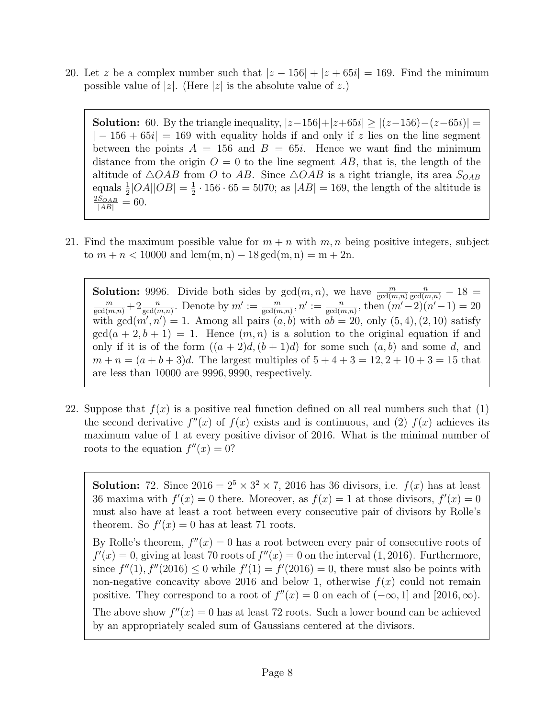20. Let z be a complex number such that  $|z - 156| + |z + 65i| = 169$ . Find the minimum possible value of |z|. (Here |z| is the absolute value of z.)

**Solution:** 60. By the triangle inequality,  $|z-156|+|z+65i| \ge |(z-156)-(z-65i)| =$  $|-156+65i|=169$  with equality holds if and only if z lies on the line segment between the points  $A = 156$  and  $B = 65i$ . Hence we want find the minimum distance from the origin  $O = 0$  to the line segment AB, that is, the length of the altitude of  $\triangle OAB$  from O to AB. Since  $\triangle OAB$  is a right triangle, its area  $S_{OAB}$ equals  $\frac{1}{2}$ |OA||OB| =  $\frac{1}{2}$  $\frac{1}{2} \cdot 156 \cdot 65 = 5070$ ; as  $|AB| = 169$ , the length of the altitude is  $\frac{2S_{OAB}}{|AB|} = 60.$ 

21. Find the maximum possible value for  $m + n$  with  $m, n$  being positive integers, subject to  $m + n < 10000$  and  $lcm(m, n) - 18 \text{ gcd}(m, n) = m + 2n$ .

**Solution:** 9996. Divide both sides by  $gcd(m, n)$ , we have  $\frac{m}{gcd(m,n)}$ **Solution:** 9996. Divide both sides by  $gcd(m, n)$ , we have  $\frac{m}{gcd(m,n)} \frac{n}{gcd(m,n)} - 18 = \frac{m}{gcd(m,n)} + 2 \frac{n}{gcd(m,n)}$ . Denote by  $m' := \frac{m}{gcd(m,n)}$ ,  $n' := \frac{n}{gcd(m,n)}$ , then  $(m'-2)(n'-1) = 20$ with  $gcd(m', n') = 1$ . Among all pairs  $(a, b)$  with  $ab = 20$ , only  $(5, 4)$ ,  $(2, 10)$  satisfy  $gcd(a + 2, b + 1) = 1$ . Hence  $(m, n)$  is a solution to the original equation if and only if it is of the form  $((a + 2)d, (b + 1)d)$  for some such  $(a, b)$  and some d, and  $m + n = (a + b + 3)d$ . The largest multiples of  $5 + 4 + 3 = 12, 2 + 10 + 3 = 15$  that are less than 10000 are 9996, 9990, respectively.

22. Suppose that  $f(x)$  is a positive real function defined on all real numbers such that  $(1)$ the second derivative  $f''(x)$  of  $f(x)$  exists and is continuous, and (2)  $f(x)$  achieves its maximum value of 1 at every positive divisor of 2016. What is the minimal number of roots to the equation  $f''(x) = 0$ ?

**Solution:** 72. Since  $2016 = 2^5 \times 3^2 \times 7$ , 2016 has 36 divisors, i.e.  $f(x)$  has at least 36 maxima with  $f'(x) = 0$  there. Moreover, as  $f(x) = 1$  at those divisors,  $f'(x) = 0$ must also have at least a root between every consecutive pair of divisors by Rolle's theorem. So  $f'(x) = 0$  has at least 71 roots. By Rolle's theorem,  $f''(x) = 0$  has a root between every pair of consecutive roots of  $f'(x) = 0$ , giving at least 70 roots of  $f''(x) = 0$  on the interval (1, 2016). Furthermore, since  $f''(1)$ ,  $f''(2016) \le 0$  while  $f'(1) = f'(2016) = 0$ , there must also be points with non-negative concavity above 2016 and below 1, otherwise  $f(x)$  could not remain

The above show  $f''(x) = 0$  has at least 72 roots. Such a lower bound can be achieved by an appropriately scaled sum of Gaussians centered at the divisors.

positive. They correspond to a root of  $f''(x) = 0$  on each of  $(-\infty, 1]$  and  $[2016, \infty)$ .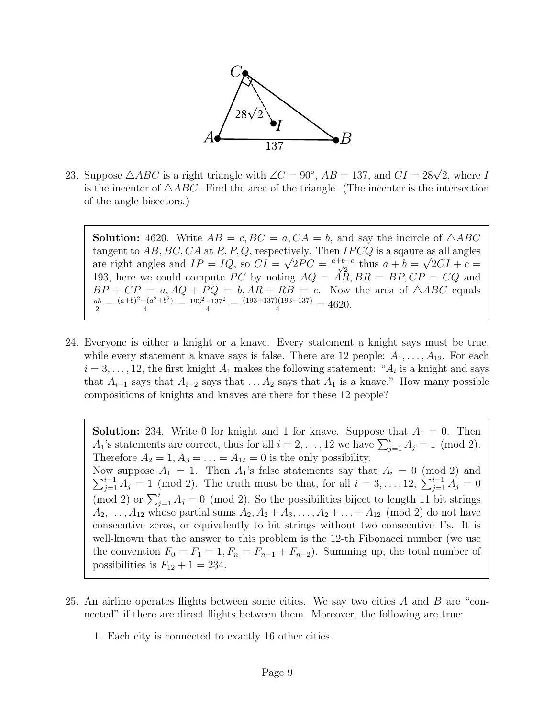

23. Suppose  $\triangle ABC$  is a right triangle with  $\angle C = 90^{\circ}$ ,  $AB = 137$ , and  $CI = 28\sqrt{2}$ , where I is the incenter of  $\triangle ABC$ . Find the area of the triangle. (The incenter is the intersection of the angle bisectors.)

**Solution:** 4620. Write  $AB = c$ ,  $BC = a$ ,  $CA = b$ , and say the incircle of  $\triangle ABC$ tangent to  $AB, BC, CA$  at  $R, P, Q$ , respectively. Then  $IPCQ$  is a sqaure as all angles are right angles and  $IP = IQ$ , so  $CI =$ √  $\overline{2}PC = \frac{a+b-c}{\sqrt{2}}$  $\frac{b-c}{2}$  thus  $a+b=$ √  $2CI + c =$ 193, here we could compute PC by noting  $AQ = AR, BR = BP, CP = CQ$  and  $BP + CP = a, AQ + PQ = b, AR + RB = c$ . Now the area of  $\triangle ABC$  equals  $\frac{ab}{2} = \frac{(a+b)^2 - (a^2+b^2)}{4} = \frac{193^2 - 137^2}{4} = \frac{(193+137)(193-137)}{4} = 4620.$ 

24. Everyone is either a knight or a knave. Every statement a knight says must be true, while every statement a knave says is false. There are 12 people:  $A_1, \ldots, A_{12}$ . For each  $i = 3, \ldots, 12$ , the first knight  $A_1$  makes the following statement: " $A_i$  is a knight and says that  $A_{i-1}$  says that  $A_{i-2}$  says that  $A_1$  is a knave." How many possible compositions of knights and knaves are there for these 12 people?

**Solution:** 234. Write 0 for knight and 1 for knave. Suppose that  $A_1 = 0$ . Then  $A_1$ 's statements are correct, thus for all  $i = 2, ..., 12$  we have  $\sum_{j=1}^{i} A_j = 1 \pmod{2}$ . Therefore  $A_2 = 1, A_3 = \ldots = A_{12} = 0$  is the only possibility. Now suppose  $A_1 = 1$ . Then  $A_1$ 's false statements say that  $A_i = 0 \pmod{2}$  and  $\sum_{j=1}^{i-1} A_j = 1 \pmod{2}$ . The truth must be that, for all  $i = 3, ..., 12, \sum_{j=1}^{i-1} A_j = 0$ (mod 2) or  $\sum_{j=1}^{i} A_j = 0$  (mod 2). So the possibilities biject to length 11 bit strings  $A_2, \ldots, A_{12}$  whose partial sums  $A_2, A_2 + A_3, \ldots, A_2 + \ldots + A_{12} \pmod{2}$  do not have consecutive zeros, or equivalently to bit strings without two consecutive 1's. It is well-known that the answer to this problem is the 12-th Fibonacci number (we use the convention  $F_0 = F_1 = 1, F_n = F_{n-1} + F_{n-2}$ . Summing up, the total number of possibilities is  $F_{12} + 1 = 234$ .

- 25. An airline operates flights between some cities. We say two cities A and B are "connected" if there are direct flights between them. Moreover, the following are true:
	- 1. Each city is connected to exactly 16 other cities.